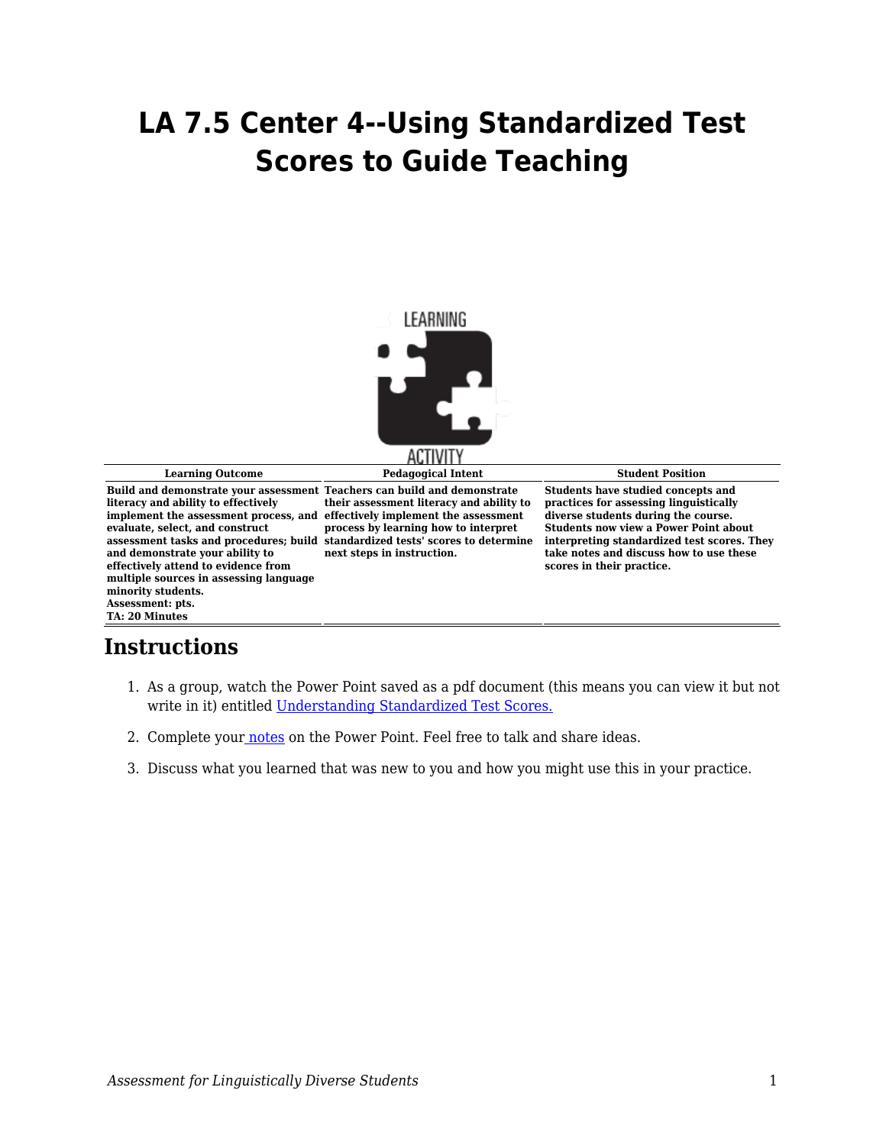## **LA 7.5 Center 4--Using Standardized Test Scores to Guide Teaching**



**Learning Outcome Pedagogical Intent Student Position**

**Build and demonstrate your assessment Teachers can build and demonstrate literacy and ability to effectively implement the assessment process, and effectively implement the assessment evaluate, select, and construct and demonstrate your ability to effectively attend to evidence from multiple sources in assessing language minority students. Assessment: pts. TA: 20 Minutes**

**assessment tasks and procedures; build standardized tests' scores to determine their assessment literacy and ability to process by learning how to interpret next steps in instruction.**

**Students have studied concepts and practices for assessing linguistically diverse students during the course. Students now view a Power Point about interpreting standardized test scores. They take notes and discuss how to use these scores in their practice.**

## **Instructions**

- 1. As a group, watch the Power Point saved as a pdf document (this means you can view it but not write in it) entitled [Understanding Standardized Test Scores.](http://depts.washington.edu/lend/pdfs/2017-11-27_Understanding_Standardized_Scores.pdf)
- 2. Complete you[r notes](https://byu.box.com/s/ah65o5tjeydai52g9q7sbu55hwme2tyt) on the Power Point. Feel free to talk and share ideas.
- 3. Discuss what you learned that was new to you and how you might use this in your practice.